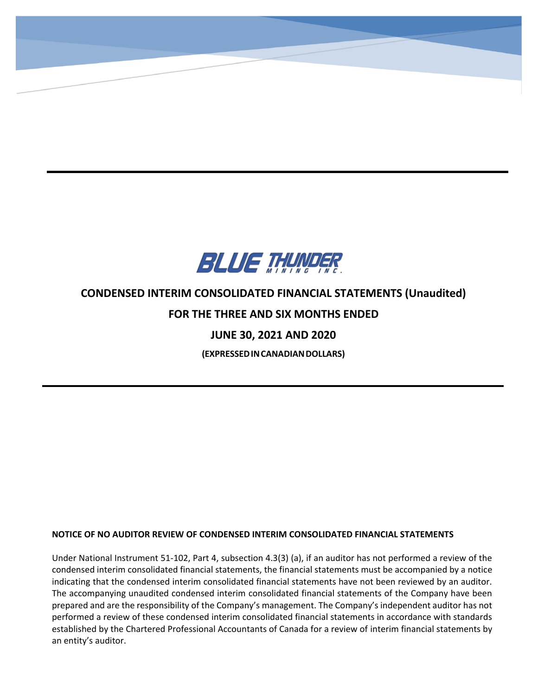

**CONDENSED INTERIM CONSOLIDATED STATEMENTS OF FINANCIAL POSITION**

**(Expressed in Canadian Dollars)**

-

# **CONDENSED INTERIM CONSOLIDATED FINANCIAL STATEMENTS (Unaudited)**

## **FOR THE THREE AND SIX MONTHS ENDED**

## **JUNE 30, 2021 AND 2020**

**(EXPRESSEDINCANADIANDOLLARS)**

## **NOTICE OF NO AUDITOR REVIEW OF CONDENSED INTERIM CONSOLIDATED FINANCIAL STATEMENTS**

Under National Instrument 51-102, Part 4, subsection 4.3(3) (a), if an auditor has not performed a review of the condensed interim consolidated financial statements, the financial statements must be accompanied by a notice indicating that the condensed interim consolidated financial statements have not been reviewed by an auditor. The accompanying unaudited condensed interim consolidated financial statements of the Company have been prepared and are the responsibility of the Company's management. The Company's independent auditor has not performed a review of these condensed interim consolidated financial statements in accordance with standards established by the Chartered Professional Accountants of Canada for a review of interim financial statements by an entity's auditor.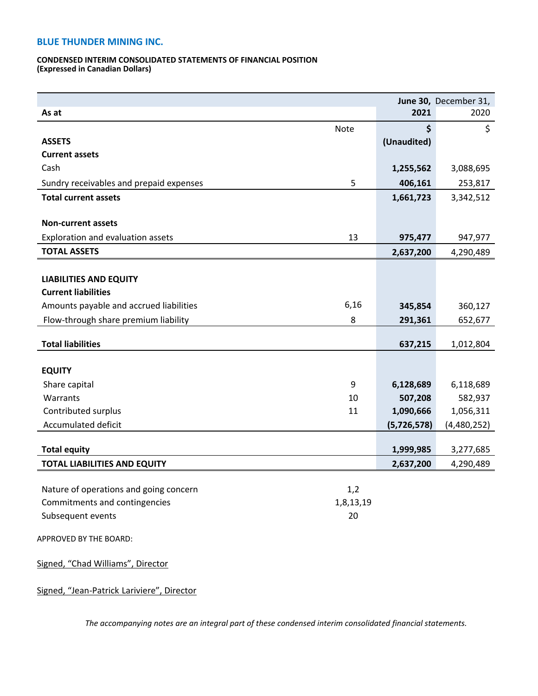#### **CONDENSED INTERIM CONSOLIDATED STATEMENTS OF FINANCIAL POSITION (Expressed in Canadian Dollars)**

|                                         |           |             | June 30, December 31, |
|-----------------------------------------|-----------|-------------|-----------------------|
| As at                                   |           | 2021        | 2020                  |
|                                         | Note      | \$          | \$                    |
| <b>ASSETS</b>                           |           | (Unaudited) |                       |
| <b>Current assets</b>                   |           |             |                       |
| Cash                                    |           | 1,255,562   | 3,088,695             |
| Sundry receivables and prepaid expenses | 5         | 406,161     | 253,817               |
| <b>Total current assets</b>             |           | 1,661,723   | 3,342,512             |
|                                         |           |             |                       |
| <b>Non-current assets</b>               |           |             |                       |
| Exploration and evaluation assets       | 13        | 975,477     | 947,977               |
| <b>TOTAL ASSETS</b>                     |           | 2,637,200   | 4,290,489             |
|                                         |           |             |                       |
| <b>LIABILITIES AND EQUITY</b>           |           |             |                       |
| <b>Current liabilities</b>              |           |             |                       |
| Amounts payable and accrued liabilities | 6,16      | 345,854     | 360,127               |
| Flow-through share premium liability    | 8         | 291,361     | 652,677               |
| <b>Total liabilities</b>                |           |             |                       |
|                                         |           | 637,215     | 1,012,804             |
| <b>EQUITY</b>                           |           |             |                       |
| Share capital                           | 9         | 6,128,689   | 6,118,689             |
| Warrants                                | 10        | 507,208     | 582,937               |
| Contributed surplus                     | 11        | 1,090,666   | 1,056,311             |
| Accumulated deficit                     |           | (5,726,578) | (4,480,252)           |
|                                         |           |             |                       |
| <b>Total equity</b>                     |           | 1,999,985   | 3,277,685             |
| <b>TOTAL LIABILITIES AND EQUITY</b>     |           | 2,637,200   | 4,290,489             |
|                                         |           |             |                       |
| Nature of operations and going concern  | 1,2       |             |                       |
| Commitments and contingencies           | 1,8,13,19 |             |                       |
| Subsequent events                       | 20        |             |                       |
| APPROVED BY THE BOARD:                  |           |             |                       |
|                                         |           |             |                       |
| Signed, "Chad Williams", Director       |           |             |                       |
|                                         |           |             |                       |

Signed, "Jean-Patrick Lariviere", Director

*The accompanying notes are an integral part of these condensed interim consolidated financial statements.*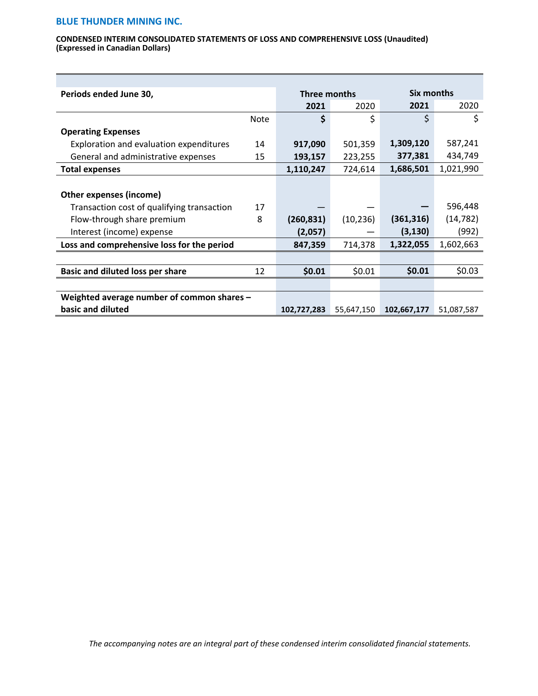#### **CONDENSED INTERIM CONSOLIDATED STATEMENTS OF LOSS AND COMPREHENSIVE LOSS (Unaudited) (Expressed in Canadian Dollars)**

| Periods ended June 30,                     |             | Three months |            | Six months  |            |
|--------------------------------------------|-------------|--------------|------------|-------------|------------|
|                                            |             | 2021         | 2020       | 2021        | 2020       |
|                                            | <b>Note</b> | \$           | \$         | \$          | \$         |
| <b>Operating Expenses</b>                  |             |              |            |             |            |
| Exploration and evaluation expenditures    | 14          | 917,090      | 501,359    | 1,309,120   | 587,241    |
| General and administrative expenses        | 15          | 193,157      | 223,255    | 377,381     | 434,749    |
| <b>Total expenses</b>                      |             | 1,110,247    | 724,614    | 1,686,501   | 1,021,990  |
|                                            |             |              |            |             |            |
| <b>Other expenses (income)</b>             |             |              |            |             |            |
| Transaction cost of qualifying transaction | 17          |              |            |             | 596,448    |
| Flow-through share premium                 | 8           | (260, 831)   | (10, 236)  | (361, 316)  | (14, 782)  |
| Interest (income) expense                  |             | (2,057)      |            | (3, 130)    | (992)      |
| Loss and comprehensive loss for the period |             | 847,359      | 714,378    | 1,322,055   | 1,602,663  |
|                                            |             |              |            |             |            |
| <b>Basic and diluted loss per share</b>    | 12          | \$0.01       | \$0.01     | \$0.01      | \$0.03     |
|                                            |             |              |            |             |            |
| Weighted average number of common shares - |             |              |            |             |            |
| basic and diluted                          |             | 102,727,283  | 55,647,150 | 102,667,177 | 51,087,587 |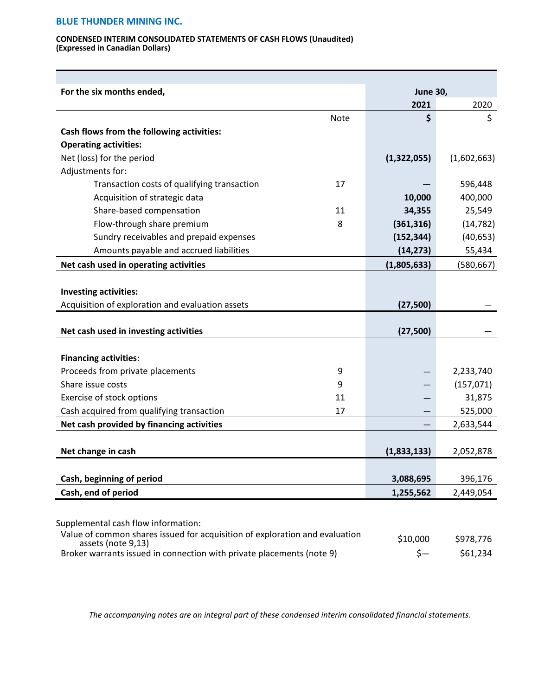#### **CONDENSED INTERIM CONSOLIDATED STATEMENTS OF CASH FLOWS (Unaudited) (Expressed in Canadian Dollars)**

| For the six months ended,                        |             | <b>June 30,</b> |             |
|--------------------------------------------------|-------------|-----------------|-------------|
|                                                  |             | 2021            | 2020        |
|                                                  | <b>Note</b> | \$              | \$          |
| Cash flows from the following activities:        |             |                 |             |
| <b>Operating activities:</b>                     |             |                 |             |
| Net (loss) for the period                        |             | (1,322,055)     | (1,602,663) |
| Adjustments for:                                 |             |                 |             |
| Transaction costs of qualifying transaction      | 17          |                 | 596,448     |
| Acquisition of strategic data                    |             | 10,000          | 400,000     |
| Share-based compensation                         | 11          | 34,355          | 25,549      |
| Flow-through share premium                       | 8           | (361, 316)      | (14, 782)   |
| Sundry receivables and prepaid expenses          |             | (152, 344)      | (40, 653)   |
| Amounts payable and accrued liabilities          |             | (14, 273)       | 55,434      |
| Net cash used in operating activities            |             | (1,805,633)     | (580, 667)  |
|                                                  |             |                 |             |
| <b>Investing activities:</b>                     |             |                 |             |
| Acquisition of exploration and evaluation assets |             | (27, 500)       |             |
|                                                  |             |                 |             |
| Net cash used in investing activities            |             | (27, 500)       |             |
|                                                  |             |                 |             |
| <b>Financing activities:</b>                     |             |                 |             |
| Proceeds from private placements                 | 9           |                 | 2,233,740   |
| Share issue costs                                | 9           |                 | (157, 071)  |
| Exercise of stock options                        | 11          |                 | 31,875      |
| Cash acquired from qualifying transaction        | 17          |                 | 525,000     |
| Net cash provided by financing activities        |             |                 | 2,633,544   |
|                                                  |             |                 |             |
| Net change in cash                               |             | (1,833,133)     | 2,052,878   |
|                                                  |             |                 |             |
| Cash, beginning of period                        |             | 3,088,695       | 396,176     |
| Cash, end of period                              |             | 1,255,562       | 2,449,054   |
|                                                  |             |                 |             |
| Supplemental cash flow information:              |             |                 |             |

| Value of common shares issued for acquisition of exploration and evaluation<br>assets (note 9,13) | \$10,000 | \$978,776 |
|---------------------------------------------------------------------------------------------------|----------|-----------|
| Broker warrants issued in connection with private placements (note 9)                             |          | \$61,234  |

*The accompanying notes are an integral part of these condensed interim consolidated financial statements.*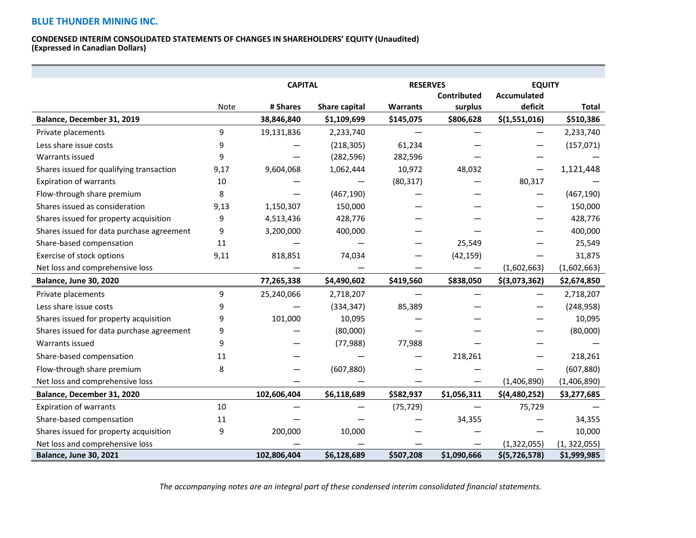#### **CONDENSED INTERIM CONSOLIDATED STATEMENTS OF CHANGES IN SHAREHOLDERS' EQUITY (Unaudited) (Expressed in Canadian Dollars)**

|                                           |      | <b>CAPITAL</b> |                      | <b>RESERVES</b> |             | <b>EQUITY</b>      |               |
|-------------------------------------------|------|----------------|----------------------|-----------------|-------------|--------------------|---------------|
|                                           |      |                |                      | Contributed     |             | <b>Accumulated</b> |               |
|                                           | Note | # Shares       | <b>Share capital</b> | <b>Warrants</b> | surplus     | deficit            | <b>Total</b>  |
| Balance, December 31, 2019                |      | 38,846,840     | \$1,109,699          | \$145,075       | \$806,628   | \$(1,551,016)      | \$510,386     |
| Private placements                        | 9    | 19,131,836     | 2,233,740            |                 |             |                    | 2,233,740     |
| Less share issue costs                    | 9    |                | (218, 305)           | 61,234          |             |                    | (157, 071)    |
| Warrants issued                           | 9    |                | (282, 596)           | 282,596         |             |                    |               |
| Shares issued for qualifying transaction  | 9,17 | 9,604,068      | 1,062,444            | 10,972          | 48,032      |                    | 1,121,448     |
| <b>Expiration of warrants</b>             | 10   |                |                      | (80, 317)       |             | 80,317             |               |
| Flow-through share premium                | 8    |                | (467, 190)           |                 |             |                    | (467, 190)    |
| Shares issued as consideration            | 9,13 | 1,150,307      | 150,000              |                 |             |                    | 150,000       |
| Shares issued for property acquisition    | 9    | 4,513,436      | 428,776              |                 |             |                    | 428,776       |
| Shares issued for data purchase agreement | 9    | 3,200,000      | 400,000              |                 |             |                    | 400,000       |
| Share-based compensation                  | 11   |                |                      |                 | 25,549      |                    | 25,549        |
| Exercise of stock options                 | 9,11 | 818,851        | 74,034               |                 | (42, 159)   |                    | 31,875        |
| Net loss and comprehensive loss           |      |                |                      |                 |             | (1,602,663)        | (1,602,663)   |
| <b>Balance, June 30, 2020</b>             |      | 77,265,338     | \$4,490,602          | \$419,560       | \$838,050   | \$(3,073,362)      | \$2,674,850   |
| Private placements                        | 9    | 25,240,066     | 2,718,207            |                 |             |                    | 2,718,207     |
| Less share issue costs                    | 9    |                | (334, 347)           | 85,389          |             |                    | (248, 958)    |
| Shares issued for property acquisition    | 9    | 101,000        | 10,095               |                 |             |                    | 10,095        |
| Shares issued for data purchase agreement | 9    |                | (80,000)             |                 |             |                    | (80,000)      |
| Warrants issued                           | 9    |                | (77, 988)            | 77,988          |             |                    |               |
| Share-based compensation                  | 11   |                |                      |                 | 218,261     |                    | 218,261       |
| Flow-through share premium                | 8    |                | (607, 880)           |                 |             |                    | (607, 880)    |
| Net loss and comprehensive loss           |      |                |                      |                 |             | (1,406,890)        | (1,406,890)   |
| Balance, December 31, 2020                |      | 102,606,404    | \$6,118,689          | \$582,937       | \$1,056,311 | \$(4,480,252)      | \$3,277,685   |
| <b>Expiration of warrants</b>             | 10   |                |                      | (75, 729)       |             | 75,729             |               |
| Share-based compensation                  | 11   |                |                      |                 | 34,355      |                    | 34,355        |
| Shares issued for property acquisition    | 9    | 200,000        | 10,000               |                 |             |                    | 10,000        |
| Net loss and comprehensive loss           |      |                |                      |                 |             | (1,322,055)        | (1, 322, 055) |
| <b>Balance, June 30, 2021</b>             |      | 102,806,404    | \$6,128,689          | \$507,208       | \$1,090,666 | \$(5,726,578)      | \$1,999,985   |

*The accompanying notes are an integral part of these condensed interim consolidated financial statements.*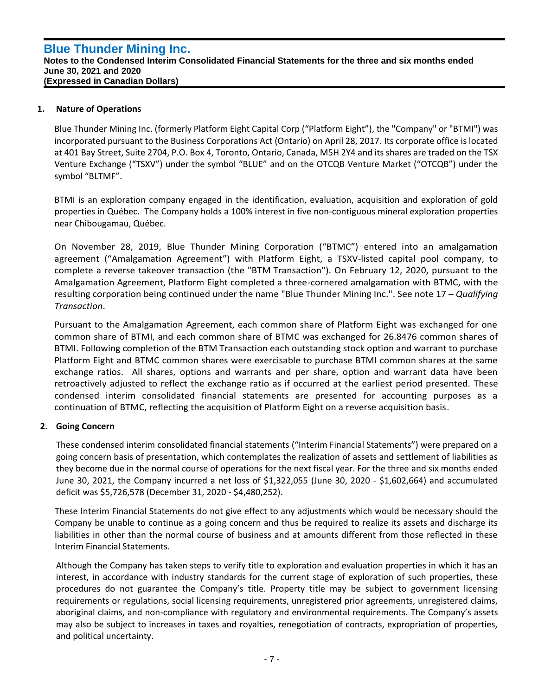## **1. Nature of Operations**

`

Blue Thunder Mining Inc. (formerly Platform Eight Capital Corp ("Platform Eight"), the "Company" or "BTMI") was incorporated pursuant to the Business Corporations Act (Ontario) on April 28, 2017. Its corporate office is located at 401 Bay Street, Suite 2704, P.O. Box 4, Toronto, Ontario, Canada, M5H 2Y4 and its shares are traded on the TSX Venture Exchange ("TSXV") under the symbol "BLUE" and on the OTCQB Venture Market ("OTCQB") under the symbol "BLTMF".

BTMI is an exploration company engaged in the identification, evaluation, acquisition and exploration of gold properties in Québec. The Company holds a 100% interest in five non-contiguous mineral exploration properties near Chibougamau, Québec.

On November 28, 2019, Blue Thunder Mining Corporation ("BTMC") entered into an amalgamation agreement ("Amalgamation Agreement") with Platform Eight, a TSXV-listed capital pool company, to complete a reverse takeover transaction (the "BTM Transaction"). On February 12, 2020, pursuant to the Amalgamation Agreement, Platform Eight completed a three-cornered amalgamation with BTMC, with the resulting corporation being continued under the name "Blue Thunder Mining Inc.". See note 17 – *Qualifying Transaction*.

Pursuant to the Amalgamation Agreement, each common share of Platform Eight was exchanged for one common share of BTMI, and each common share of BTMC was exchanged for 26.8476 common shares of BTMI. Following completion of the BTM Transaction each outstanding stock option and warrant to purchase Platform Eight and BTMC common shares were exercisable to purchase BTMI common shares at the same exchange ratios. All shares, options and warrants and per share, option and warrant data have been retroactively adjusted to reflect the exchange ratio as if occurred at the earliest period presented. These condensed interim consolidated financial statements are presented for accounting purposes as a continuation of BTMC, reflecting the acquisition of Platform Eight on a reverse acquisition basis.

## **2. Going Concern**

These condensed interim consolidated financial statements ("Interim Financial Statements") were prepared on a going concern basis of presentation, which contemplates the realization of assets and settlement of liabilities as they become due in the normal course of operations for the next fiscal year. For the three and six months ended June 30, 2021, the Company incurred a net loss of \$1,322,055 (June 30, 2020 - \$1,602,664) and accumulated deficit was \$5,726,578 (December 31, 2020 - \$4,480,252).

These Interim Financial Statements do not give effect to any adjustments which would be necessary should the Company be unable to continue as a going concern and thus be required to realize its assets and discharge its liabilities in other than the normal course of business and at amounts different from those reflected in these Interim Financial Statements.

Although the Company has taken steps to verify title to exploration and evaluation properties in which it has an interest, in accordance with industry standards for the current stage of exploration of such properties, these procedures do not guarantee the Company's title. Property title may be subject to government licensing requirements or regulations, social licensing requirements, unregistered prior agreements, unregistered claims, aboriginal claims, and non-compliance with regulatory and environmental requirements. The Company's assets may also be subject to increases in taxes and royalties, renegotiation of contracts, expropriation of properties, and political uncertainty.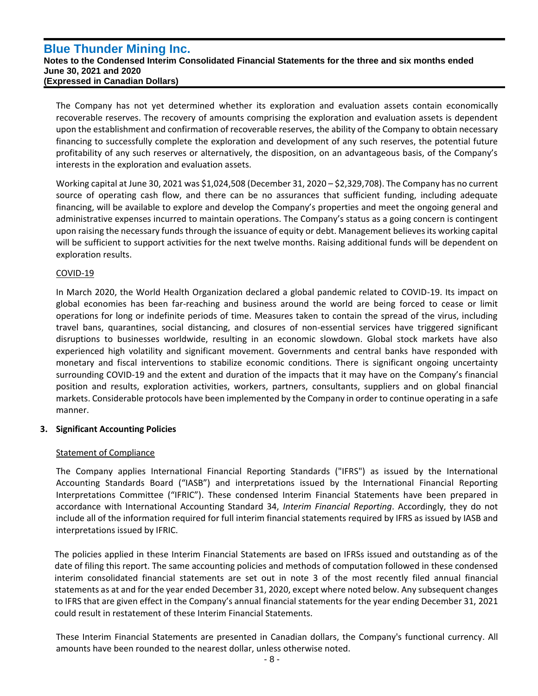The Company has not yet determined whether its exploration and evaluation assets contain economically recoverable reserves. The recovery of amounts comprising the exploration and evaluation assets is dependent upon the establishment and confirmation of recoverable reserves, the ability of the Company to obtain necessary financing to successfully complete the exploration and development of any such reserves, the potential future profitability of any such reserves or alternatively, the disposition, on an advantageous basis, of the Company's interests in the exploration and evaluation assets.

Working capital at June 30, 2021 was \$1,024,508 (December 31, 2020 – \$2,329,708). The Company has no current source of operating cash flow, and there can be no assurances that sufficient funding, including adequate financing, will be available to explore and develop the Company's properties and meet the ongoing general and administrative expenses incurred to maintain operations. The Company's status as a going concern is contingent upon raising the necessary funds through the issuance of equity or debt. Management believes its working capital will be sufficient to support activities for the next twelve months. Raising additional funds will be dependent on exploration results.

## COVID-19

`

In March 2020, the World Health Organization declared a global pandemic related to COVID-19. Its impact on global economies has been far-reaching and business around the world are being forced to cease or limit operations for long or indefinite periods of time. Measures taken to contain the spread of the virus, including travel bans, quarantines, social distancing, and closures of non-essential services have triggered significant disruptions to businesses worldwide, resulting in an economic slowdown. Global stock markets have also experienced high volatility and significant movement. Governments and central banks have responded with monetary and fiscal interventions to stabilize economic conditions. There is significant ongoing uncertainty surrounding COVID-19 and the extent and duration of the impacts that it may have on the Company's financial position and results, exploration activities, workers, partners, consultants, suppliers and on global financial markets. Considerable protocols have been implemented by the Company in order to continue operating in a safe manner.

## **3. Significant Accounting Policies**

## Statement of Compliance

The Company applies International Financial Reporting Standards ("IFRS") as issued by the International Accounting Standards Board ("IASB") and interpretations issued by the International Financial Reporting Interpretations Committee ("IFRIC"). These condensed Interim Financial Statements have been prepared in accordance with International Accounting Standard 34, *Interim Financial Reporting*. Accordingly, they do not include all of the information required for full interim financial statements required by IFRS as issued by IASB and interpretations issued by IFRIC.

The policies applied in these Interim Financial Statements are based on IFRSs issued and outstanding as of the date of filing this report. The same accounting policies and methods of computation followed in these condensed interim consolidated financial statements are set out in note 3 of the most recently filed annual financial statements as at and for the year ended December 31, 2020, except where noted below. Any subsequent changes to IFRS that are given effect in the Company's annual financial statements for the year ending December 31, 2021 could result in restatement of these Interim Financial Statements.

These Interim Financial Statements are presented in Canadian dollars, the Company's functional currency. All amounts have been rounded to the nearest dollar, unless otherwise noted.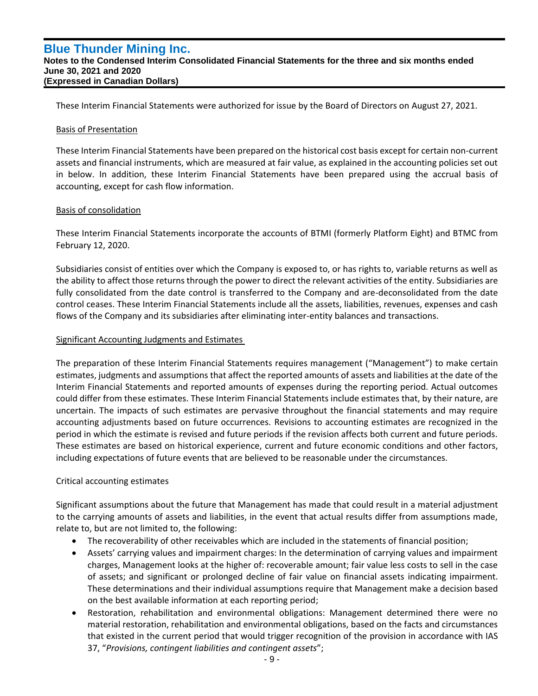These Interim Financial Statements were authorized for issue by the Board of Directors on August 27, 2021.

#### Basis of Presentation

`

These Interim Financial Statements have been prepared on the historical cost basis except for certain non-current assets and financial instruments, which are measured at fair value, as explained in the accounting policies set out in below. In addition, these Interim Financial Statements have been prepared using the accrual basis of accounting, except for cash flow information.

### Basis of consolidation

These Interim Financial Statements incorporate the accounts of BTMI (formerly Platform Eight) and BTMC from February 12, 2020.

Subsidiaries consist of entities over which the Company is exposed to, or has rights to, variable returns as well as the ability to affect those returns through the power to direct the relevant activities of the entity. Subsidiaries are fully consolidated from the date control is transferred to the Company and are-deconsolidated from the date control ceases. These Interim Financial Statements include all the assets, liabilities, revenues, expenses and cash flows of the Company and its subsidiaries after eliminating inter-entity balances and transactions.

### Significant Accounting Judgments and Estimates

The preparation of these Interim Financial Statements requires management ("Management") to make certain estimates, judgments and assumptions that affect the reported amounts of assets and liabilities at the date of the Interim Financial Statements and reported amounts of expenses during the reporting period. Actual outcomes could differ from these estimates. These Interim Financial Statements include estimates that, by their nature, are uncertain. The impacts of such estimates are pervasive throughout the financial statements and may require accounting adjustments based on future occurrences. Revisions to accounting estimates are recognized in the period in which the estimate is revised and future periods if the revision affects both current and future periods. These estimates are based on historical experience, current and future economic conditions and other factors, including expectations of future events that are believed to be reasonable under the circumstances.

## Critical accounting estimates

Significant assumptions about the future that Management has made that could result in a material adjustment to the carrying amounts of assets and liabilities, in the event that actual results differ from assumptions made, relate to, but are not limited to, the following:

- The recoverability of other receivables which are included in the statements of financial position;
- Assets' carrying values and impairment charges: In the determination of carrying values and impairment charges, Management looks at the higher of: recoverable amount; fair value less costs to sell in the case of assets; and significant or prolonged decline of fair value on financial assets indicating impairment. These determinations and their individual assumptions require that Management make a decision based on the best available information at each reporting period;
- Restoration, rehabilitation and environmental obligations: Management determined there were no material restoration, rehabilitation and environmental obligations, based on the facts and circumstances that existed in the current period that would trigger recognition of the provision in accordance with IAS 37, "*Provisions, contingent liabilities and contingent assets*";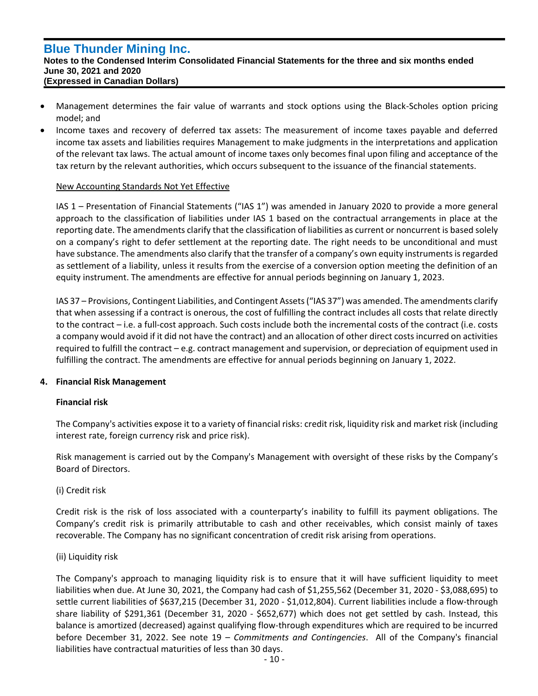`

### **Notes to the Condensed Interim Consolidated Financial Statements for the three and six months ended June 30, 2021 and 2020 (Expressed in Canadian Dollars)**

- Management determines the fair value of warrants and stock options using the Black-Scholes option pricing model; and
- Income taxes and recovery of deferred tax assets: The measurement of income taxes payable and deferred income tax assets and liabilities requires Management to make judgments in the interpretations and application of the relevant tax laws. The actual amount of income taxes only becomes final upon filing and acceptance of the tax return by the relevant authorities, which occurs subsequent to the issuance of the financial statements.

### New Accounting Standards Not Yet Effective

IAS 1 – Presentation of Financial Statements ("IAS 1") was amended in January 2020 to provide a more general approach to the classification of liabilities under IAS 1 based on the contractual arrangements in place at the reporting date. The amendments clarify that the classification of liabilities as current or noncurrent is based solely on a company's right to defer settlement at the reporting date. The right needs to be unconditional and must have substance. The amendments also clarify that the transfer of a company's own equity instruments is regarded as settlement of a liability, unless it results from the exercise of a conversion option meeting the definition of an equity instrument. The amendments are effective for annual periods beginning on January 1, 2023.

IAS 37 – Provisions, Contingent Liabilities, and Contingent Assets ("IAS 37") was amended. The amendments clarify that when assessing if a contract is onerous, the cost of fulfilling the contract includes all costs that relate directly to the contract – i.e. a full-cost approach. Such costs include both the incremental costs of the contract (i.e. costs a company would avoid if it did not have the contract) and an allocation of other direct costs incurred on activities required to fulfill the contract – e.g. contract management and supervision, or depreciation of equipment used in fulfilling the contract. The amendments are effective for annual periods beginning on January 1, 2022.

## **4. Financial Risk Management**

## **Financial risk**

The Company's activities expose it to a variety of financial risks: credit risk, liquidity risk and market risk (including interest rate, foreign currency risk and price risk).

Risk management is carried out by the Company's Management with oversight of these risks by the Company's Board of Directors.

## (i) Credit risk

Credit risk is the risk of loss associated with a counterparty's inability to fulfill its payment obligations. The Company's credit risk is primarily attributable to cash and other receivables, which consist mainly of taxes recoverable. The Company has no significant concentration of credit risk arising from operations.

#### (ii) Liquidity risk

The Company's approach to managing liquidity risk is to ensure that it will have sufficient liquidity to meet liabilities when due. At June 30, 2021, the Company had cash of \$1,255,562 (December 31, 2020 - \$3,088,695) to settle current liabilities of \$637,215 (December 31, 2020 - \$1,012,804). Current liabilities include a flow-through share liability of \$291,361 (December 31, 2020 - \$652,677) which does not get settled by cash. Instead, this balance is amortized (decreased) against qualifying flow-through expenditures which are required to be incurred before December 31, 2022. See note 19 – *Commitments and Contingencies*. All of the Company's financial liabilities have contractual maturities of less than 30 days.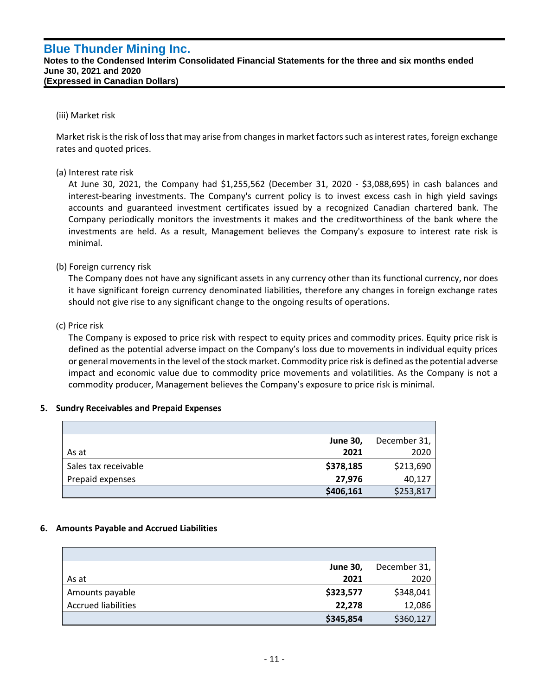**Notes to the Condensed Interim Consolidated Financial Statements for the three and six months ended June 30, 2021 and 2020 (Expressed in Canadian Dollars)**

### (iii) Market risk

`

Market risk is the risk of loss that may arise from changes in market factors such as interest rates, foreign exchange rates and quoted prices.

## (a) Interest rate risk

At June 30, 2021, the Company had \$1,255,562 (December 31, 2020 - \$3,088,695) in cash balances and interest-bearing investments. The Company's current policy is to invest excess cash in high yield savings accounts and guaranteed investment certificates issued by a recognized Canadian chartered bank. The Company periodically monitors the investments it makes and the creditworthiness of the bank where the investments are held. As a result, Management believes the Company's exposure to interest rate risk is minimal.

## (b) Foreign currency risk

The Company does not have any significant assets in any currency other than its functional currency, nor does it have significant foreign currency denominated liabilities, therefore any changes in foreign exchange rates should not give rise to any significant change to the ongoing results of operations.

### (c) Price risk

The Company is exposed to price risk with respect to equity prices and commodity prices. Equity price risk is defined as the potential adverse impact on the Company's loss due to movements in individual equity prices or general movements in the level of the stock market. Commodity price risk is defined as the potential adverse impact and economic value due to commodity price movements and volatilities. As the Company is not a commodity producer, Management believes the Company's exposure to price risk is minimal.

#### **5. Sundry Receivables and Prepaid Expenses**

|                      | <b>June 30,</b> | December 31, |
|----------------------|-----------------|--------------|
| As at                | 2021            | 2020         |
| Sales tax receivable | \$378,185       | \$213,690    |
| Prepaid expenses     | 27,976          | 40,127       |
|                      | \$406,161       | \$253,817    |

#### **6. Amounts Payable and Accrued Liabilities**

|                            | <b>June 30,</b> | December 31, |
|----------------------------|-----------------|--------------|
| As at                      | 2021            | 2020         |
| Amounts payable            | \$323,577       | \$348,041    |
| <b>Accrued liabilities</b> | 22,278          | 12,086       |
|                            | \$345,854       | \$360,127    |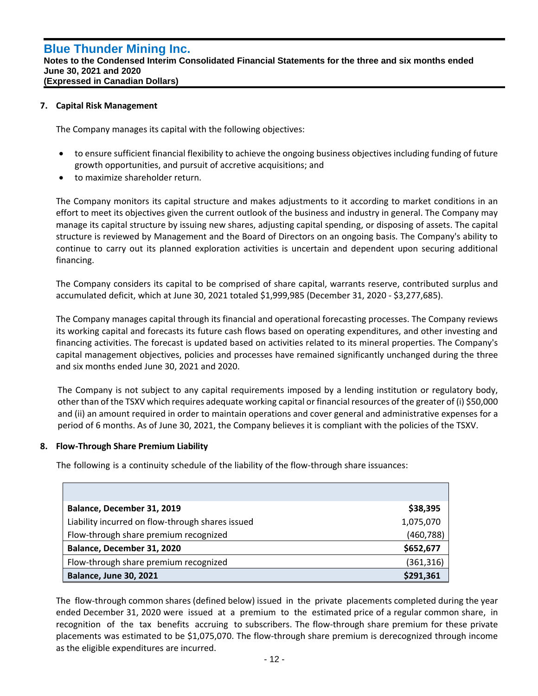### **7. Capital Risk Management**

`

The Company manages its capital with the following objectives:

- to ensure sufficient financial flexibility to achieve the ongoing business objectives including funding of future growth opportunities, and pursuit of accretive acquisitions; and
- to maximize shareholder return.

The Company monitors its capital structure and makes adjustments to it according to market conditions in an effort to meet its objectives given the current outlook of the business and industry in general. The Company may manage its capital structure by issuing new shares, adjusting capital spending, or disposing of assets. The capital structure is reviewed by Management and the Board of Directors on an ongoing basis. The Company's ability to continue to carry out its planned exploration activities is uncertain and dependent upon securing additional financing.

The Company considers its capital to be comprised of share capital, warrants reserve, contributed surplus and accumulated deficit, which at June 30, 2021 totaled \$1,999,985 (December 31, 2020 - \$3,277,685).

The Company manages capital through its financial and operational forecasting processes. The Company reviews its working capital and forecasts its future cash flows based on operating expenditures, and other investing and financing activities. The forecast is updated based on activities related to its mineral properties. The Company's capital management objectives, policies and processes have remained significantly unchanged during the three and six months ended June 30, 2021 and 2020.

The Company is not subject to any capital requirements imposed by a lending institution or regulatory body, other than of the TSXV which requires adequate working capital or financial resources of the greater of (i) \$50,000 and (ii) an amount required in order to maintain operations and cover general and administrative expenses for a period of 6 months. As of June 30, 2021, the Company believes it is compliant with the policies of the TSXV.

#### **8. Flow-Through Share Premium Liability**

The following is a continuity schedule of the liability of the flow-through share issuances:

| Balance, December 31, 2019                       | \$38,395   |
|--------------------------------------------------|------------|
| Liability incurred on flow-through shares issued | 1,075,070  |
| Flow-through share premium recognized            | (460, 788) |
| Balance, December 31, 2020                       | \$652,677  |
| Flow-through share premium recognized            | (361, 316) |
| <b>Balance, June 30, 2021</b>                    | \$291,361  |

The flow-through common shares (defined below) issued in the private placements completed during the year ended December 31, 2020 were issued at a premium to the estimated price of a regular common share, in recognition of the tax benefits accruing to subscribers. The flow-through share premium for these private placements was estimated to be \$1,075,070. The flow-through share premium is derecognized through income as the eligible expenditures are incurred.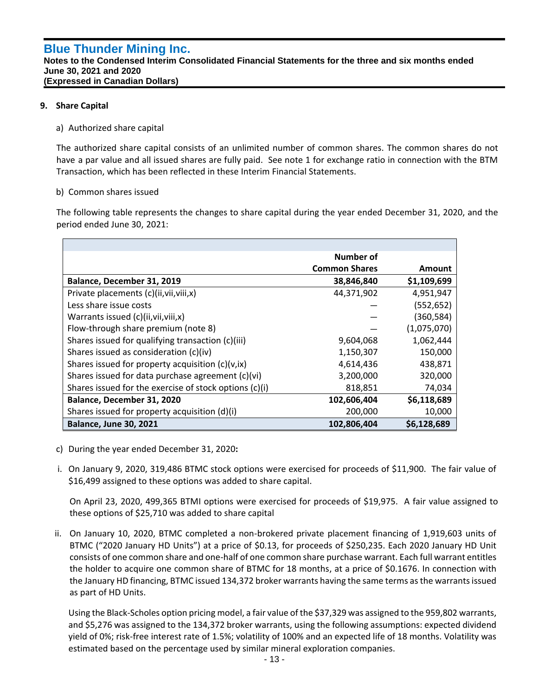**Notes to the Condensed Interim Consolidated Financial Statements for the three and six months ended June 30, 2021 and 2020 (Expressed in Canadian Dollars)**

## **9. Share Capital**

`

## a) Authorized share capital

The authorized share capital consists of an unlimited number of common shares. The common shares do not have a par value and all issued shares are fully paid. See note 1 for exchange ratio in connection with the BTM Transaction, which has been reflected in these Interim Financial Statements.

## b) Common shares issued

The following table represents the changes to share capital during the year ended December 31, 2020, and the period ended June 30, 2021:

|                                                        | Number of            |             |
|--------------------------------------------------------|----------------------|-------------|
|                                                        | <b>Common Shares</b> | Amount      |
| Balance, December 31, 2019                             | 38,846,840           | \$1,109,699 |
| Private placements (c)(ii, vii, viii, x)               | 44,371,902           | 4,951,947   |
| Less share issue costs                                 |                      | (552, 652)  |
| Warrants issued (c)(ii, vii, viii, x)                  |                      | (360, 584)  |
| Flow-through share premium (note 8)                    |                      | (1,075,070) |
| Shares issued for qualifying transaction (c)(iii)      | 9,604,068            | 1,062,444   |
| Shares issued as consideration (c)(iv)                 | 1,150,307            | 150,000     |
| Shares issued for property acquisition (c)(v,ix)       | 4,614,436            | 438,871     |
| Shares issued for data purchase agreement (c)(vi)      | 3,200,000            | 320,000     |
| Shares issued for the exercise of stock options (c)(i) | 818,851              | 74,034      |
| Balance, December 31, 2020                             | 102,606,404          | \$6,118,689 |
| Shares issued for property acquisition (d)(i)          | 200,000              | 10,000      |
| <b>Balance, June 30, 2021</b>                          | 102,806,404          | \$6,128,689 |

- c) During the year ended December 31, 2020**:**
- i. On January 9, 2020, 319,486 BTMC stock options were exercised for proceeds of \$11,900. The fair value of \$16,499 assigned to these options was added to share capital.

On April 23, 2020, 499,365 BTMI options were exercised for proceeds of \$19,975. A fair value assigned to these options of \$25,710 was added to share capital

ii. On January 10, 2020, BTMC completed a non-brokered private placement financing of 1,919,603 units of BTMC ("2020 January HD Units") at a price of \$0.13, for proceeds of \$250,235. Each 2020 January HD Unit consists of one common share and one-half of one common share purchase warrant. Each full warrant entitles the holder to acquire one common share of BTMC for 18 months, at a price of \$0.1676. In connection with the January HD financing, BTMC issued 134,372 broker warrants having the same terms as the warrants issued as part of HD Units.

Using the Black-Scholes option pricing model, a fair value of the \$37,329 was assigned to the 959,802 warrants, and \$5,276 was assigned to the 134,372 broker warrants, using the following assumptions: expected dividend yield of 0%; risk-free interest rate of 1.5%; volatility of 100% and an expected life of 18 months. Volatility was estimated based on the percentage used by similar mineral exploration companies.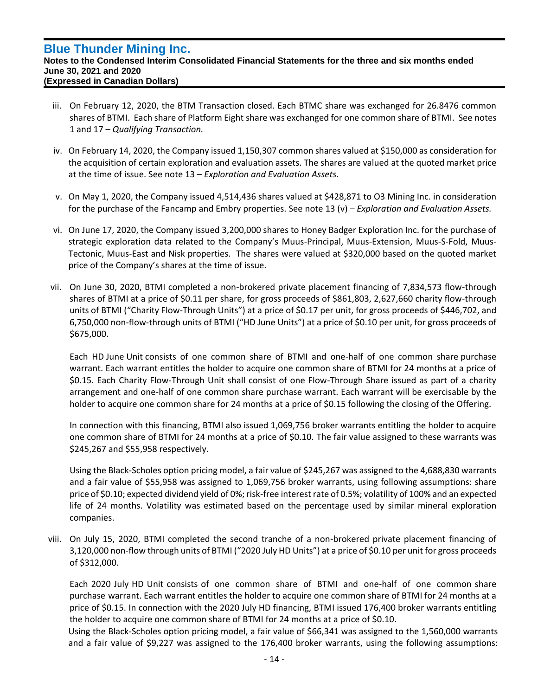`

#### **Notes to the Condensed Interim Consolidated Financial Statements for the three and six months ended June 30, 2021 and 2020 (Expressed in Canadian Dollars)**

- iii. On February 12, 2020, the BTM Transaction closed. Each BTMC share was exchanged for 26.8476 common shares of BTMI. Each share of Platform Eight share was exchanged for one common share of BTMI. See notes 1 and 17 – *Qualifying Transaction.*
- iv. On February 14, 2020, the Company issued 1,150,307 common shares valued at \$150,000 as consideration for the acquisition of certain exploration and evaluation assets. The shares are valued at the quoted market price at the time of issue. See note 13 – *Exploration and Evaluation Assets*.
- v. On May 1, 2020, the Company issued 4,514,436 shares valued at \$428,871 to O3 Mining Inc. in consideration for the purchase of the Fancamp and Embry properties. See note 13 (v) – *Exploration and Evaluation Assets.*
- vi. On June 17, 2020, the Company issued 3,200,000 shares to Honey Badger Exploration Inc. for the purchase of strategic exploration data related to the Company's Muus-Principal, Muus-Extension, Muus-S-Fold, Muus-Tectonic, Muus-East and Nisk properties. The shares were valued at \$320,000 based on the quoted market price of the Company's shares at the time of issue.
- vii. On June 30, 2020, BTMI completed a non-brokered private placement financing of 7,834,573 flow-through shares of BTMI at a price of \$0.11 per share, for gross proceeds of \$861,803, 2,627,660 charity flow-through units of BTMI ("Charity Flow-Through Units") at a price of \$0.17 per unit, for gross proceeds of \$446,702, and 6,750,000 non-flow-through units of BTMI ("HD June Units") at a price of \$0.10 per unit, for gross proceeds of \$675,000.

Each HD June Unit consists of one common share of BTMI and one-half of one common share purchase warrant. Each warrant entitles the holder to acquire one common share of BTMI for 24 months at a price of \$0.15. Each Charity Flow-Through Unit shall consist of one Flow-Through Share issued as part of a charity arrangement and one-half of one common share purchase warrant. Each warrant will be exercisable by the holder to acquire one common share for 24 months at a price of \$0.15 following the closing of the Offering.

In connection with this financing, BTMI also issued 1,069,756 broker warrants entitling the holder to acquire one common share of BTMI for 24 months at a price of \$0.10. The fair value assigned to these warrants was \$245,267 and \$55,958 respectively.

Using the Black-Scholes option pricing model, a fair value of \$245,267 was assigned to the 4,688,830 warrants and a fair value of \$55,958 was assigned to 1,069,756 broker warrants, using following assumptions: share price of \$0.10; expected dividend yield of 0%; risk-free interest rate of 0.5%; volatility of 100% and an expected life of 24 months. Volatility was estimated based on the percentage used by similar mineral exploration companies.

viii. On July 15, 2020, BTMI completed the second tranche of a non-brokered private placement financing of 3,120,000 non-flow through units of BTMI ("2020 July HD Units") at a price of \$0.10 per unit for gross proceeds of \$312,000.

Each 2020 July HD Unit consists of one common share of BTMI and one-half of one common share purchase warrant. Each warrant entitles the holder to acquire one common share of BTMI for 24 months at a price of \$0.15. In connection with the 2020 July HD financing, BTMI issued 176,400 broker warrants entitling the holder to acquire one common share of BTMI for 24 months at a price of \$0.10.

Using the Black-Scholes option pricing model, a fair value of \$66,341 was assigned to the 1,560,000 warrants and a fair value of \$9,227 was assigned to the 176,400 broker warrants, using the following assumptions: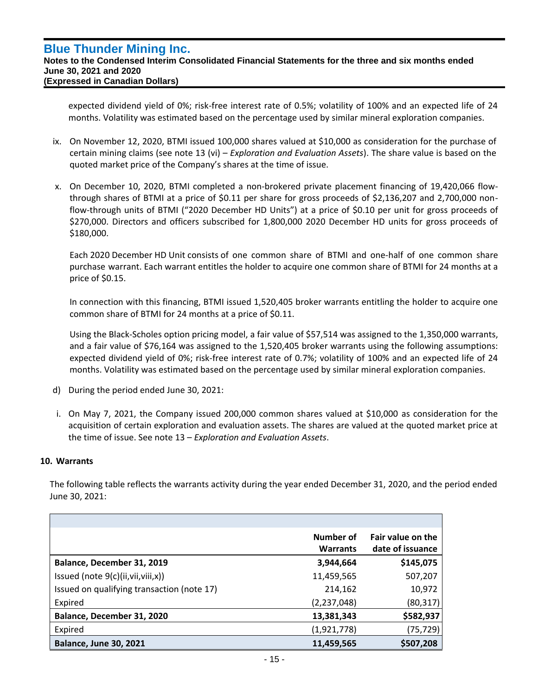expected dividend yield of 0%; risk-free interest rate of 0.5%; volatility of 100% and an expected life of 24 months. Volatility was estimated based on the percentage used by similar mineral exploration companies.

- ix. On November 12, 2020, BTMI issued 100,000 shares valued at \$10,000 as consideration for the purchase of certain mining claims (see note 13 (vi) – *Exploration and Evaluation Assets*). The share value is based on the quoted market price of the Company's shares at the time of issue.
- x. On December 10, 2020, BTMI completed a non-brokered private placement financing of 19,420,066 flowthrough shares of BTMI at a price of \$0.11 per share for gross proceeds of \$2,136,207 and 2,700,000 nonflow-through units of BTMI ("2020 December HD Units") at a price of \$0.10 per unit for gross proceeds of \$270,000. Directors and officers subscribed for 1,800,000 2020 December HD units for gross proceeds of \$180,000.

Each 2020 December HD Unit consists of one common share of BTMI and one-half of one common share purchase warrant. Each warrant entitles the holder to acquire one common share of BTMI for 24 months at a price of \$0.15.

In connection with this financing, BTMI issued 1,520,405 broker warrants entitling the holder to acquire one common share of BTMI for 24 months at a price of \$0.11.

Using the Black-Scholes option pricing model, a fair value of \$57,514 was assigned to the 1,350,000 warrants, and a fair value of \$76,164 was assigned to the 1,520,405 broker warrants using the following assumptions: expected dividend yield of 0%; risk-free interest rate of 0.7%; volatility of 100% and an expected life of 24 months. Volatility was estimated based on the percentage used by similar mineral exploration companies.

- d) During the period ended June 30, 2021:
- i. On May 7, 2021, the Company issued 200,000 common shares valued at \$10,000 as consideration for the acquisition of certain exploration and evaluation assets. The shares are valued at the quoted market price at the time of issue. See note 13 – *Exploration and Evaluation Assets*.

## **10. Warrants**

`

The following table reflects the warrants activity during the year ended December 31, 2020, and the period ended June 30, 2021:

|                                            | Number of<br><b>Warrants</b> | Fair value on the<br>date of issuance |
|--------------------------------------------|------------------------------|---------------------------------------|
| Balance, December 31, 2019                 | 3,944,664                    | \$145,075                             |
| Issued (note $9(c)$ (ii, vii, viii, x))    | 11,459,565                   | 507,207                               |
| Issued on qualifying transaction (note 17) | 214,162                      | 10,972                                |
| Expired                                    | (2,237,048)                  | (80, 317)                             |
| Balance, December 31, 2020                 | 13,381,343                   | \$582,937                             |
| Expired                                    | (1,921,778)                  | (75, 729)                             |
| <b>Balance, June 30, 2021</b>              | 11,459,565                   | \$507,208                             |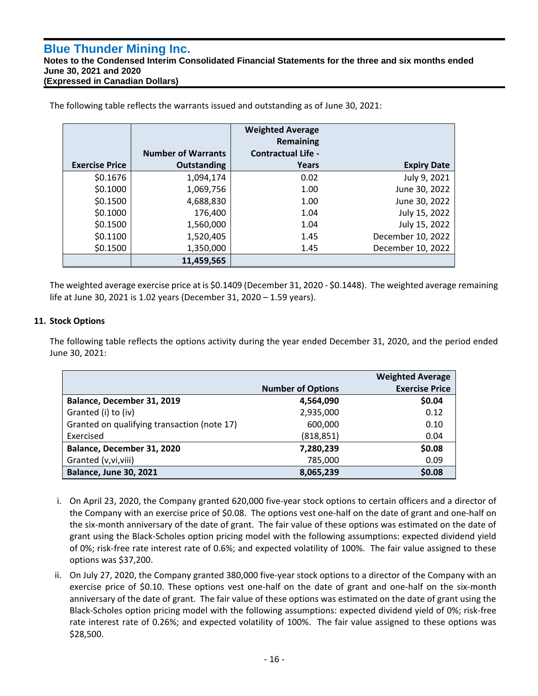**Notes to the Condensed Interim Consolidated Financial Statements for the three and six months ended June 30, 2021 and 2020 (Expressed in Canadian Dollars)**

|                       |                           | <b>Weighted Average</b><br><b>Remaining</b> |                    |
|-----------------------|---------------------------|---------------------------------------------|--------------------|
|                       | <b>Number of Warrants</b> | <b>Contractual Life -</b>                   |                    |
| <b>Exercise Price</b> | <b>Outstanding</b>        | Years                                       | <b>Expiry Date</b> |
| \$0.1676              | 1,094,174                 | 0.02                                        | July 9, 2021       |
| \$0.1000              | 1,069,756                 | 1.00                                        | June 30, 2022      |
| \$0.1500              | 4,688,830                 | 1.00                                        | June 30, 2022      |
| \$0.1000              | 176,400                   | 1.04                                        | July 15, 2022      |
| \$0.1500              | 1,560,000                 | 1.04                                        | July 15, 2022      |
| \$0.1100              | 1,520,405                 | 1.45                                        | December 10, 2022  |
| \$0.1500              | 1,350,000                 | 1.45                                        | December 10, 2022  |
|                       | 11,459,565                |                                             |                    |

The following table reflects the warrants issued and outstanding as of June 30, 2021:

The weighted average exercise price at is \$0.1409 (December 31, 2020 - \$0.1448). The weighted average remaining life at June 30, 2021 is 1.02 years (December 31, 2020 – 1.59 years).

## **11. Stock Options**

`

The following table reflects the options activity during the year ended December 31, 2020, and the period ended June 30, 2021:

|                                             |                          | <b>Weighted Average</b> |
|---------------------------------------------|--------------------------|-------------------------|
|                                             | <b>Number of Options</b> | <b>Exercise Price</b>   |
| Balance, December 31, 2019                  | 4,564,090                | \$0.04                  |
| Granted (i) to (iv)                         | 2,935,000                | 0.12                    |
| Granted on qualifying transaction (note 17) | 600,000                  | 0.10                    |
| Exercised                                   | (818, 851)               | 0.04                    |
| Balance, December 31, 2020                  | 7,280,239                | \$0.08                  |
| Granted (v, vi, viii)                       | 785,000                  | 0.09                    |
| <b>Balance, June 30, 2021</b>               | 8,065,239                | \$0.08                  |

- i. On April 23, 2020, the Company granted 620,000 five-year stock options to certain officers and a director of the Company with an exercise price of \$0.08. The options vest one-half on the date of grant and one-half on the six-month anniversary of the date of grant. The fair value of these options was estimated on the date of grant using the Black-Scholes option pricing model with the following assumptions: expected dividend yield of 0%; risk-free rate interest rate of 0.6%; and expected volatility of 100%. The fair value assigned to these options was \$37,200.
- ii. On July 27, 2020, the Company granted 380,000 five-year stock options to a director of the Company with an exercise price of \$0.10. These options vest one-half on the date of grant and one-half on the six-month anniversary of the date of grant. The fair value of these options was estimated on the date of grant using the Black-Scholes option pricing model with the following assumptions: expected dividend yield of 0%; risk-free rate interest rate of 0.26%; and expected volatility of 100%. The fair value assigned to these options was \$28,500.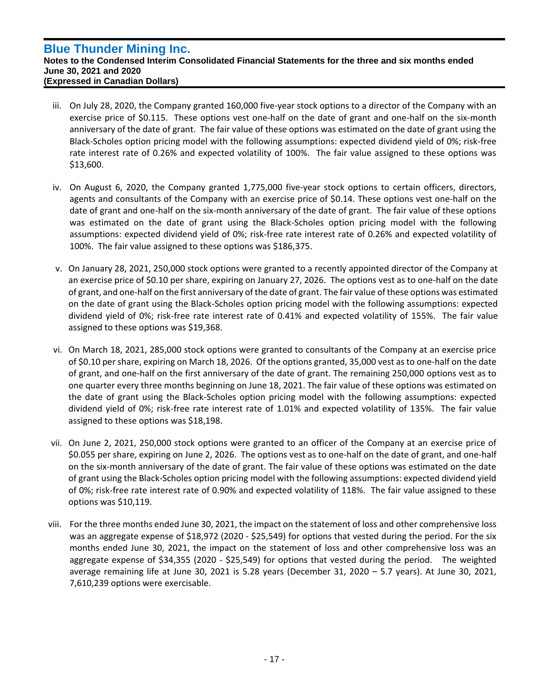`

- iii. On July 28, 2020, the Company granted 160,000 five-year stock options to a director of the Company with an exercise price of \$0.115. These options vest one-half on the date of grant and one-half on the six-month anniversary of the date of grant. The fair value of these options was estimated on the date of grant using the Black-Scholes option pricing model with the following assumptions: expected dividend yield of 0%; risk-free rate interest rate of 0.26% and expected volatility of 100%. The fair value assigned to these options was \$13,600.
- iv. On August 6, 2020, the Company granted 1,775,000 five-year stock options to certain officers, directors, agents and consultants of the Company with an exercise price of \$0.14. These options vest one-half on the date of grant and one-half on the six-month anniversary of the date of grant. The fair value of these options was estimated on the date of grant using the Black-Scholes option pricing model with the following assumptions: expected dividend yield of 0%; risk-free rate interest rate of 0.26% and expected volatility of 100%. The fair value assigned to these options was \$186,375.
- v. On January 28, 2021, 250,000 stock options were granted to a recently appointed director of the Company at an exercise price of \$0.10 per share, expiring on January 27, 2026. The options vest as to one-half on the date of grant, and one-half on the first anniversary of the date of grant. The fair value of these options was estimated on the date of grant using the Black-Scholes option pricing model with the following assumptions: expected dividend yield of 0%; risk-free rate interest rate of 0.41% and expected volatility of 155%. The fair value assigned to these options was \$19,368.
- vi. On March 18, 2021, 285,000 stock options were granted to consultants of the Company at an exercise price of \$0.10 per share, expiring on March 18, 2026. Of the options granted, 35,000 vest as to one-half on the date of grant, and one-half on the first anniversary of the date of grant. The remaining 250,000 options vest as to one quarter every three months beginning on June 18, 2021. The fair value of these options was estimated on the date of grant using the Black-Scholes option pricing model with the following assumptions: expected dividend yield of 0%; risk-free rate interest rate of 1.01% and expected volatility of 135%. The fair value assigned to these options was \$18,198.
- vii. On June 2, 2021, 250,000 stock options were granted to an officer of the Company at an exercise price of \$0.055 per share, expiring on June 2, 2026. The options vest as to one-half on the date of grant, and one-half on the six-month anniversary of the date of grant. The fair value of these options was estimated on the date of grant using the Black-Scholes option pricing model with the following assumptions: expected dividend yield of 0%; risk-free rate interest rate of 0.90% and expected volatility of 118%. The fair value assigned to these options was \$10,119.
- viii. For the three months ended June 30, 2021, the impact on the statement of loss and other comprehensive loss was an aggregate expense of \$18,972 (2020 - \$25,549) for options that vested during the period. For the six months ended June 30, 2021, the impact on the statement of loss and other comprehensive loss was an aggregate expense of \$34,355 (2020 - \$25,549) for options that vested during the period. The weighted average remaining life at June 30, 2021 is 5.28 years (December 31, 2020 – 5.7 years). At June 30, 2021, 7,610,239 options were exercisable.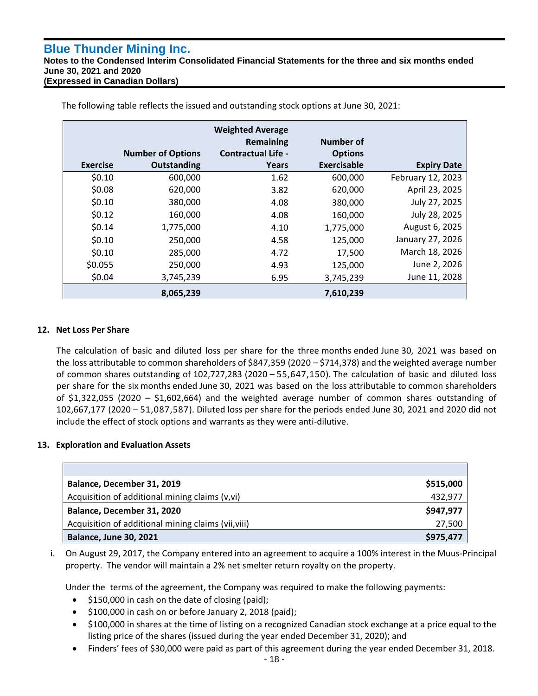`

**Notes to the Condensed Interim Consolidated Financial Statements for the three and six months ended June 30, 2021 and 2020 (Expressed in Canadian Dollars)**

|                 |                          | <b>Weighted Average</b><br>Remaining | <b>Number of</b>   |                    |
|-----------------|--------------------------|--------------------------------------|--------------------|--------------------|
|                 | <b>Number of Options</b> | <b>Contractual Life -</b>            | <b>Options</b>     |                    |
| <b>Exercise</b> | <b>Outstanding</b>       | Years                                | <b>Exercisable</b> | <b>Expiry Date</b> |
| \$0.10          | 600,000                  | 1.62                                 | 600,000            | February 12, 2023  |
| \$0.08          | 620,000                  | 3.82                                 | 620,000            | April 23, 2025     |
| \$0.10          | 380,000                  | 4.08                                 | 380,000            | July 27, 2025      |
| \$0.12          | 160,000                  | 4.08                                 | 160,000            | July 28, 2025      |
| \$0.14          | 1,775,000                | 4.10                                 | 1,775,000          | August 6, 2025     |
| \$0.10          | 250,000                  | 4.58                                 | 125,000            | January 27, 2026   |
| \$0.10          | 285,000                  | 4.72                                 | 17,500             | March 18, 2026     |
| \$0.055         | 250,000                  | 4.93                                 | 125,000            | June 2, 2026       |
| \$0.04          | 3,745,239                | 6.95                                 | 3,745,239          | June 11, 2028      |
|                 | 8,065,239                |                                      | 7,610,239          |                    |

The following table reflects the issued and outstanding stock options at June 30, 2021:

## **12. Net Loss Per Share**

The calculation of basic and diluted loss per share for the three months ended June 30, 2021 was based on the loss attributable to common shareholders of \$847,359 (2020 – \$714,378) and the weighted average number of common shares outstanding of 102,727,283 (2020 – 55,647,150). The calculation of basic and diluted loss per share for the six months ended June 30, 2021 was based on the loss attributable to common shareholders of \$1,322,055 (2020 – \$1,602,664) and the weighted average number of common shares outstanding of 102,667,177 (2020 – 51,087,587). Diluted loss per share for the periods ended June 30, 2021 and 2020 did not include the effect of stock options and warrants as they were anti-dilutive.

## **13. Exploration and Evaluation Assets**

| Balance, December 31, 2019                          | \$515,000 |
|-----------------------------------------------------|-----------|
| Acquisition of additional mining claims (v,vi)      | 432,977   |
| Balance, December 31, 2020                          | \$947,977 |
| Acquisition of additional mining claims (vii, viii) | 27,500    |
| <b>Balance, June 30, 2021</b>                       | \$975,477 |

i. On August 29, 2017, the Company entered into an agreement to acquire a 100% interest in the Muus-Principal property. The vendor will maintain a 2% net smelter return royalty on the property.

Under the terms of the agreement, the Company was required to make the following payments:

- \$150,000 in cash on the date of closing (paid);
- \$100,000 in cash on or before January 2, 2018 (paid);
- \$100,000 in shares at the time of listing on a recognized Canadian stock exchange at a price equal to the listing price of the shares (issued during the year ended December 31, 2020); and
- Finders' fees of \$30,000 were paid as part of this agreement during the year ended December 31, 2018.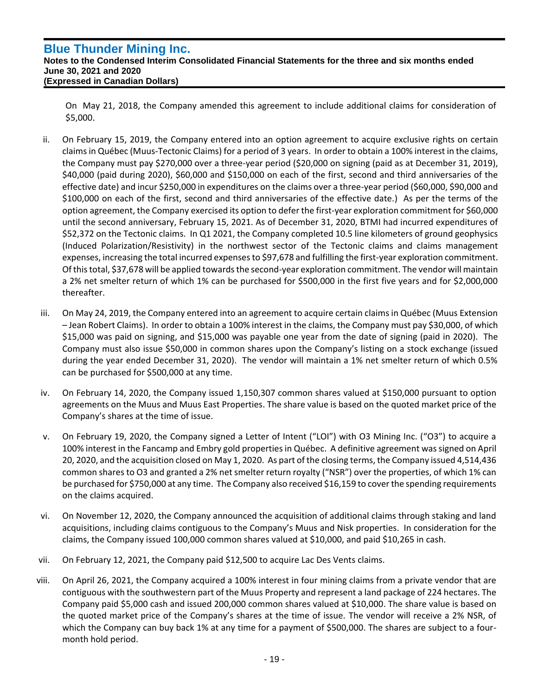`

**Notes to the Condensed Interim Consolidated Financial Statements for the three and six months ended June 30, 2021 and 2020 (Expressed in Canadian Dollars)**

On May 21, 2018, the Company amended this agreement to include additional claims for consideration of \$5,000.

- ii. On February 15, 2019, the Company entered into an option agreement to acquire exclusive rights on certain claims in Québec (Muus-Tectonic Claims) for a period of 3 years. In order to obtain a 100% interest in the claims, the Company must pay \$270,000 over a three-year period (\$20,000 on signing (paid as at December 31, 2019), \$40,000 (paid during 2020), \$60,000 and \$150,000 on each of the first, second and third anniversaries of the effective date) and incur \$250,000 in expenditures on the claims over a three-year period (\$60,000, \$90,000 and \$100,000 on each of the first, second and third anniversaries of the effective date.) As per the terms of the option agreement, the Company exercised its option to defer the first-year exploration commitment for \$60,000 until the second anniversary, February 15, 2021. As of December 31, 2020, BTMI had incurred expenditures of \$52,372 on the Tectonic claims. In Q1 2021, the Company completed 10.5 line kilometers of ground geophysics (Induced Polarization/Resistivity) in the northwest sector of the Tectonic claims and claims management expenses, increasing the total incurred expenses to \$97,678 and fulfilling the first-year exploration commitment. Of this total, \$37,678 will be applied towards the second-year exploration commitment. The vendor will maintain a 2% net smelter return of which 1% can be purchased for \$500,000 in the first five years and for \$2,000,000 thereafter.
- iii. On May 24, 2019, the Company entered into an agreement to acquire certain claims in Québec (Muus Extension – Jean Robert Claims). In order to obtain a 100% interest in the claims, the Company must pay \$30,000, of which \$15,000 was paid on signing, and \$15,000 was payable one year from the date of signing (paid in 2020). The Company must also issue \$50,000 in common shares upon the Company's listing on a stock exchange (issued during the year ended December 31, 2020). The vendor will maintain a 1% net smelter return of which 0.5% can be purchased for \$500,000 at any time.
- iv. On February 14, 2020, the Company issued 1,150,307 common shares valued at \$150,000 pursuant to option agreements on the Muus and Muus East Properties. The share value is based on the quoted market price of the Company's shares at the time of issue.
- v. On February 19, 2020, the Company signed a Letter of Intent ("LOI") with O3 Mining Inc. ("O3") to acquire a 100% interest in the Fancamp and Embry gold properties in Québec. A definitive agreement was signed on April 20, 2020, and the acquisition closed on May 1, 2020. As part of the closing terms, the Company issued 4,514,436 common shares to O3 and granted a 2% net smelter return royalty ("NSR") over the properties, of which 1% can be purchased for \$750,000 at any time. The Company also received \$16,159 to cover the spending requirements on the claims acquired.
- vi. On November 12, 2020, the Company announced the acquisition of additional claims through staking and land acquisitions, including claims contiguous to the Company's Muus and Nisk properties. In consideration for the claims, the Company issued 100,000 common shares valued at \$10,000, and paid \$10,265 in cash.
- vii. On February 12, 2021, the Company paid \$12,500 to acquire Lac Des Vents claims.
- viii. On April 26, 2021, the Company acquired a 100% interest in four mining claims from a private vendor that are contiguous with the southwestern part of the Muus Property and represent a land package of 224 hectares. The Company paid \$5,000 cash and issued 200,000 common shares valued at \$10,000. The share value is based on the quoted market price of the Company's shares at the time of issue. The vendor will receive a 2% NSR, of which the Company can buy back 1% at any time for a payment of \$500,000. The shares are subject to a fourmonth hold period.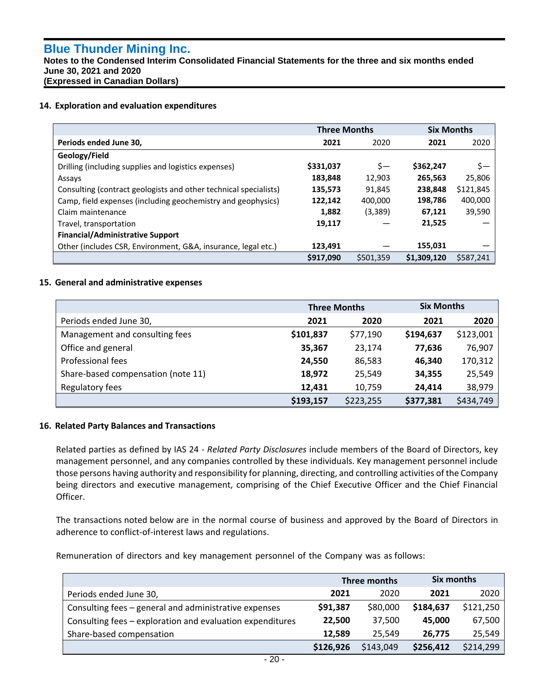`

**Notes to the Condensed Interim Consolidated Financial Statements for the three and six months ended June 30, 2021 and 2020 (Expressed in Canadian Dollars)**

### **14. Exploration and evaluation expenditures**

|                                                                  | <b>Three Months</b> |           | <b>Six Months</b> |           |
|------------------------------------------------------------------|---------------------|-----------|-------------------|-----------|
| Periods ended June 30,                                           | 2021                | 2020      | 2021              | 2020      |
| Geology/Field                                                    |                     |           |                   |           |
| Drilling (including supplies and logistics expenses)             | \$331,037           | \$—       | \$362,247         | \$—       |
| Assays                                                           | 183,848             | 12,903    | 265,563           | 25,806    |
| Consulting (contract geologists and other technical specialists) | 135,573             | 91,845    | 238.848           | \$121,845 |
| Camp, field expenses (including geochemistry and geophysics)     | 122,142             | 400,000   | 198,786           | 400,000   |
| Claim maintenance                                                | 1,882               | (3,389)   | 67,121            | 39,590    |
| Travel, transportation                                           | 19,117              |           | 21,525            |           |
| <b>Financial/Administrative Support</b>                          |                     |           |                   |           |
| Other (includes CSR, Environment, G&A, insurance, legal etc.)    | 123,491             |           | 155.031           |           |
|                                                                  | \$917,090           | \$501,359 | \$1,309,120       | \$587.241 |

### **15. General and administrative expenses**

|                                    | <b>Three Months</b> |           | <b>Six Months</b> |           |
|------------------------------------|---------------------|-----------|-------------------|-----------|
| Periods ended June 30,             | 2021                | 2020      | 2021              | 2020      |
| Management and consulting fees     | \$101,837           | \$77,190  | \$194,637         | \$123,001 |
| Office and general                 | 35,367              | 23,174    | 77,636            | 76,907    |
| Professional fees                  | 24,550              | 86,583    | 46,340            | 170,312   |
| Share-based compensation (note 11) | 18,972              | 25,549    | 34,355            | 25,549    |
| Regulatory fees                    | 12,431              | 10,759    | 24,414            | 38,979    |
|                                    | \$193,157           | \$223,255 | \$377,381         | \$434,749 |

#### **16. Related Party Balances and Transactions**

Related parties as defined by IAS 24 - *Related Party Disclosures* include members of the Board of Directors, key management personnel, and any companies controlled by these individuals. Key management personnel include those persons having authority and responsibility for planning, directing, and controlling activities of the Company being directors and executive management, comprising of the Chief Executive Officer and the Chief Financial Officer.

The transactions noted below are in the normal course of business and approved by the Board of Directors in adherence to conflict-of-interest laws and regulations.

Remuneration of directors and key management personnel of the Company was as follows:

|                                                           | Three months |           | Six months |           |
|-----------------------------------------------------------|--------------|-----------|------------|-----------|
| Periods ended June 30,                                    | 2021         | 2020      | 2021       | 2020      |
| Consulting fees - general and administrative expenses     | \$91,387     | \$80,000  | \$184,637  | \$121,250 |
| Consulting fees – exploration and evaluation expenditures | 22,500       | 37.500    | 45.000     | 67,500    |
| Share-based compensation                                  | 12,589       | 25.549    | 26.775     | 25,549    |
|                                                           | \$126,926    | \$143,049 | \$256,412  | \$214,299 |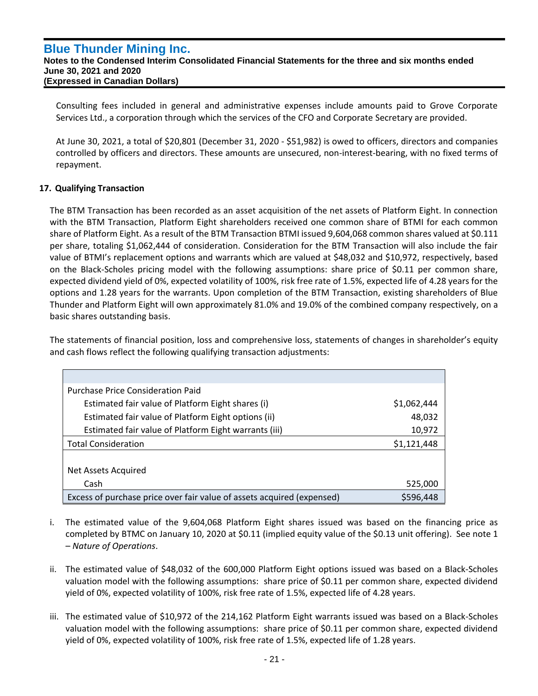Consulting fees included in general and administrative expenses include amounts paid to Grove Corporate Services Ltd., a corporation through which the services of the CFO and Corporate Secretary are provided.

At June 30, 2021, a total of \$20,801 (December 31, 2020 - \$51,982) is owed to officers, directors and companies controlled by officers and directors. These amounts are unsecured, non-interest-bearing, with no fixed terms of repayment.

## **17. Qualifying Transaction**

`

The BTM Transaction has been recorded as an asset acquisition of the net assets of Platform Eight. In connection with the BTM Transaction, Platform Eight shareholders received one common share of BTMI for each common share of Platform Eight. As a result of the BTM Transaction BTMI issued 9,604,068 common shares valued at \$0.111 per share, totaling \$1,062,444 of consideration. Consideration for the BTM Transaction will also include the fair value of BTMI's replacement options and warrants which are valued at \$48,032 and \$10,972, respectively, based on the Black-Scholes pricing model with the following assumptions: share price of \$0.11 per common share, expected dividend yield of 0%, expected volatility of 100%, risk free rate of 1.5%, expected life of 4.28 years for the options and 1.28 years for the warrants. Upon completion of the BTM Transaction, existing shareholders of Blue Thunder and Platform Eight will own approximately 81.0% and 19.0% of the combined company respectively, on a basic shares outstanding basis.

The statements of financial position, loss and comprehensive loss, statements of changes in shareholder's equity and cash flows reflect the following qualifying transaction adjustments:

| <b>Purchase Price Consideration Paid</b>                               |             |
|------------------------------------------------------------------------|-------------|
| Estimated fair value of Platform Eight shares (i)                      | \$1,062,444 |
| Estimated fair value of Platform Eight options (ii)                    | 48,032      |
| Estimated fair value of Platform Eight warrants (iii)                  | 10,972      |
| <b>Total Consideration</b>                                             | \$1,121,448 |
|                                                                        |             |
| Net Assets Acquired                                                    |             |
| Cash                                                                   | 525,000     |
| Excess of purchase price over fair value of assets acquired (expensed) | \$596,448   |

- i. The estimated value of the 9,604,068 Platform Eight shares issued was based on the financing price as completed by BTMC on January 10, 2020 at \$0.11 (implied equity value of the \$0.13 unit offering). See note 1 – *Nature of Operations*.
- ii. The estimated value of \$48,032 of the 600,000 Platform Eight options issued was based on a Black-Scholes valuation model with the following assumptions: share price of \$0.11 per common share, expected dividend yield of 0%, expected volatility of 100%, risk free rate of 1.5%, expected life of 4.28 years.
- iii. The estimated value of \$10,972 of the 214,162 Platform Eight warrants issued was based on a Black-Scholes valuation model with the following assumptions: share price of \$0.11 per common share, expected dividend yield of 0%, expected volatility of 100%, risk free rate of 1.5%, expected life of 1.28 years.